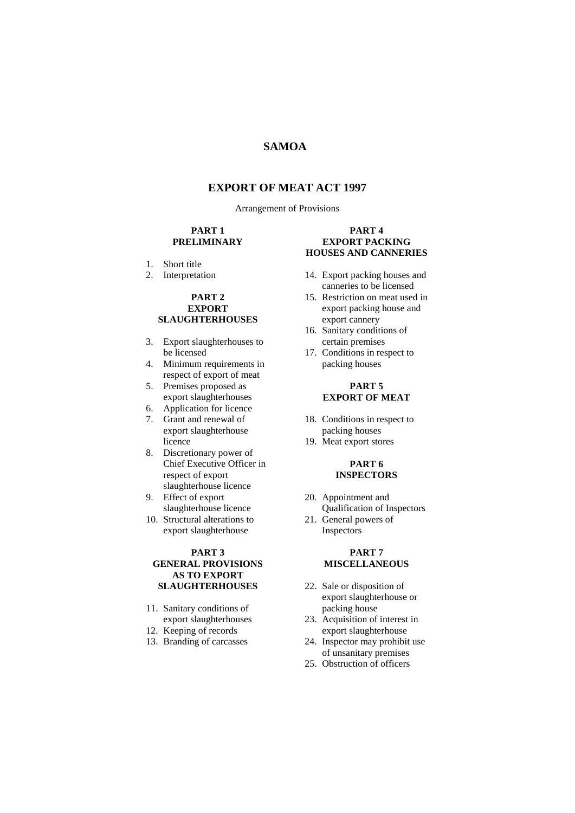## **SAMOA**

## **EXPORT OF MEAT ACT 1997**

Arrangement of Provisions

#### **PART 1 PRELIMINARY**

- 1. Short title
- 2. Interpretation

#### **PART 2 EXPORT SLAUGHTERHOUSES**

- 3. Export slaughterhouses to be licensed
- 4. Minimum requirements in respect of export of meat
- 5. Premises proposed as export slaughterhouses
- 6. Application for licence
- 7. Grant and renewal of export slaughterhouse licence
- 8. Discretionary power of Chief Executive Officer in respect of export slaughterhouse licence
- 9. Effect of export slaughterhouse licence
- 10. Structural alterations to export slaughterhouse

#### **PART 3 GENERAL PROVISIONS AS TO EXPORT SLAUGHTERHOUSES**

- 11. Sanitary conditions of export slaughterhouses
- 12. Keeping of records
- 13. Branding of carcasses

#### **PART 4 EXPORT PACKING HOUSES AND CANNERIES**

- 14. Export packing houses and canneries to be licensed
- 15. Restriction on meat used in export packing house and export cannery
- 16. Sanitary conditions of certain premises
- 17. Conditions in respect to packing houses

#### **PART 5 EXPORT OF MEAT**

- 18. Conditions in respect to packing houses
- 19. Meat export stores

#### **PART 6 INSPECTORS**

- 20. Appointment and Qualification of Inspectors
- 21. General powers of Inspectors

#### **PART 7 MISCELLANEOUS**

- 22. Sale or disposition of export slaughterhouse or packing house
- 23. Acquisition of interest in export slaughterhouse
- 24. Inspector may prohibit use of unsanitary premises
- 25. Obstruction of officers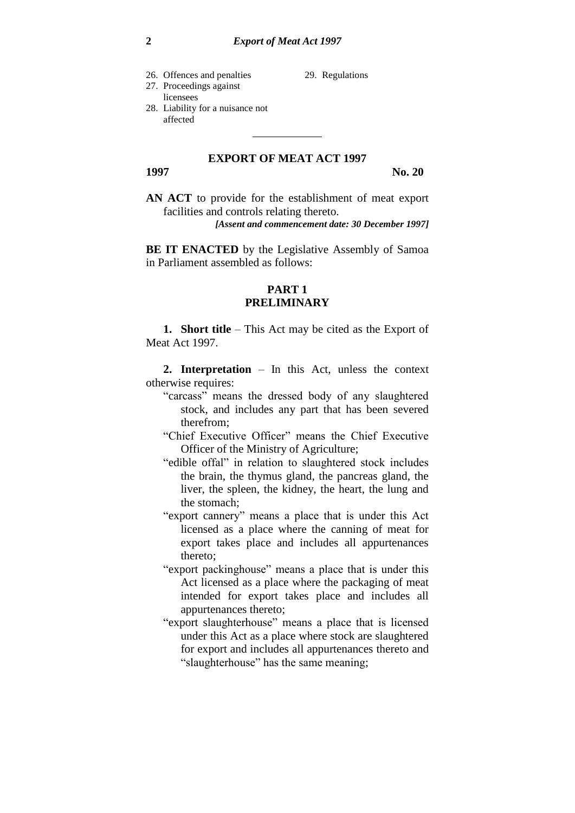26. Offences and penalties

29. Regulations

#### 27. Proceedings against licensees 28. Liability for a nuisance not affected

## **EXPORT OF MEAT ACT 1997**

**1997 No. 20**

**AN ACT** to provide for the establishment of meat export facilities and controls relating thereto.

*[Assent and commencement date: 30 December 1997]*

**BE IT ENACTED** by the Legislative Assembly of Samoa in Parliament assembled as follows:

## **PART 1 PRELIMINARY**

**1. Short title** – This Act may be cited as the Export of Meat Act 1997.

**2. Interpretation** – In this Act, unless the context otherwise requires:

- "carcass" means the dressed body of any slaughtered stock, and includes any part that has been severed therefrom;
- "Chief Executive Officer" means the Chief Executive Officer of the Ministry of Agriculture;
- "edible offal" in relation to slaughtered stock includes the brain, the thymus gland, the pancreas gland, the liver, the spleen, the kidney, the heart, the lung and the stomach;
- "export cannery" means a place that is under this Act licensed as a place where the canning of meat for export takes place and includes all appurtenances thereto;
- "export packinghouse" means a place that is under this Act licensed as a place where the packaging of meat intended for export takes place and includes all appurtenances thereto;
- "export slaughterhouse" means a place that is licensed under this Act as a place where stock are slaughtered for export and includes all appurtenances thereto and "slaughterhouse" has the same meaning;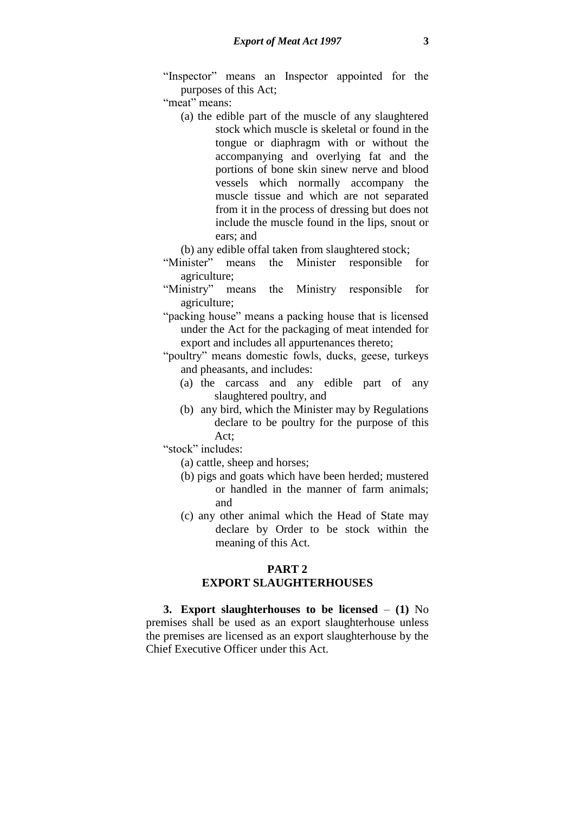"Inspector" means an Inspector appointed for the purposes of this Act;

"meat" means:

- (a) the edible part of the muscle of any slaughtered stock which muscle is skeletal or found in the tongue or diaphragm with or without the accompanying and overlying fat and the portions of bone skin sinew nerve and blood vessels which normally accompany the muscle tissue and which are not separated from it in the process of dressing but does not include the muscle found in the lips, snout or ears; and
- (b) any edible offal taken from slaughtered stock;
- "Minister" means the Minister responsible for agriculture;
- "Ministry" means the Ministry responsible for agriculture;
- "packing house" means a packing house that is licensed under the Act for the packaging of meat intended for export and includes all appurtenances thereto;
- "poultry" means domestic fowls, ducks, geese, turkeys and pheasants, and includes:
	- (a) the carcass and any edible part of any slaughtered poultry, and
	- (b) any bird, which the Minister may by Regulations declare to be poultry for the purpose of this Act;
- "stock" includes:
	- (a) cattle, sheep and horses;
	- (b) pigs and goats which have been herded; mustered or handled in the manner of farm animals; and
	- (c) any other animal which the Head of State may declare by Order to be stock within the meaning of this Act.

# **PART 2 EXPORT SLAUGHTERHOUSES**

**3. Export slaughterhouses to be licensed** – **(1)** No premises shall be used as an export slaughterhouse unless the premises are licensed as an export slaughterhouse by the Chief Executive Officer under this Act.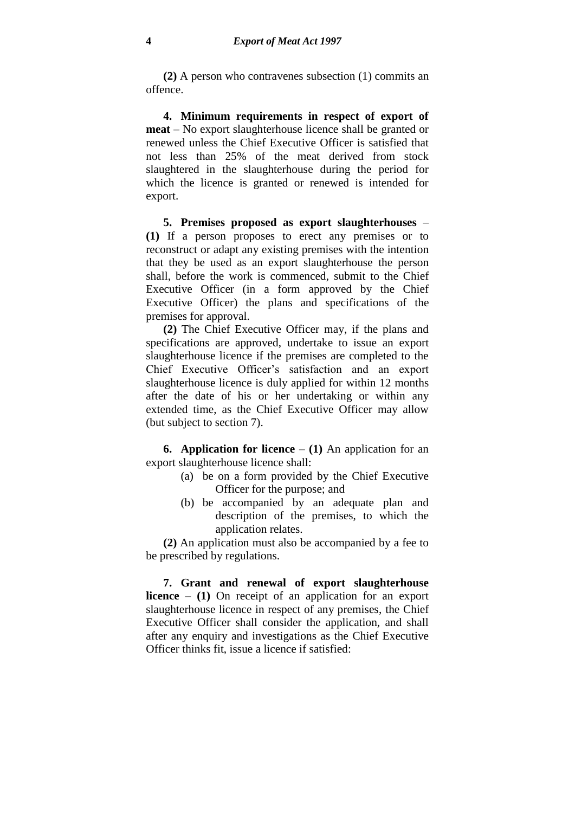**(2)** A person who contravenes subsection (1) commits an offence.

**4. Minimum requirements in respect of export of meat** – No export slaughterhouse licence shall be granted or renewed unless the Chief Executive Officer is satisfied that not less than 25% of the meat derived from stock slaughtered in the slaughterhouse during the period for which the licence is granted or renewed is intended for export.

**5. Premises proposed as export slaughterhouses** – **(1)** If a person proposes to erect any premises or to reconstruct or adapt any existing premises with the intention that they be used as an export slaughterhouse the person shall, before the work is commenced, submit to the Chief Executive Officer (in a form approved by the Chief Executive Officer) the plans and specifications of the premises for approval.

**(2)** The Chief Executive Officer may, if the plans and specifications are approved, undertake to issue an export slaughterhouse licence if the premises are completed to the Chief Executive Officer's satisfaction and an export slaughterhouse licence is duly applied for within 12 months after the date of his or her undertaking or within any extended time, as the Chief Executive Officer may allow (but subject to section 7).

**6. Application for licence** – **(1)** An application for an export slaughterhouse licence shall:

- (a) be on a form provided by the Chief Executive Officer for the purpose; and
- (b) be accompanied by an adequate plan and description of the premises, to which the application relates.

**(2)** An application must also be accompanied by a fee to be prescribed by regulations.

**7. Grant and renewal of export slaughterhouse licence** – **(1)** On receipt of an application for an export slaughterhouse licence in respect of any premises, the Chief Executive Officer shall consider the application, and shall after any enquiry and investigations as the Chief Executive Officer thinks fit, issue a licence if satisfied: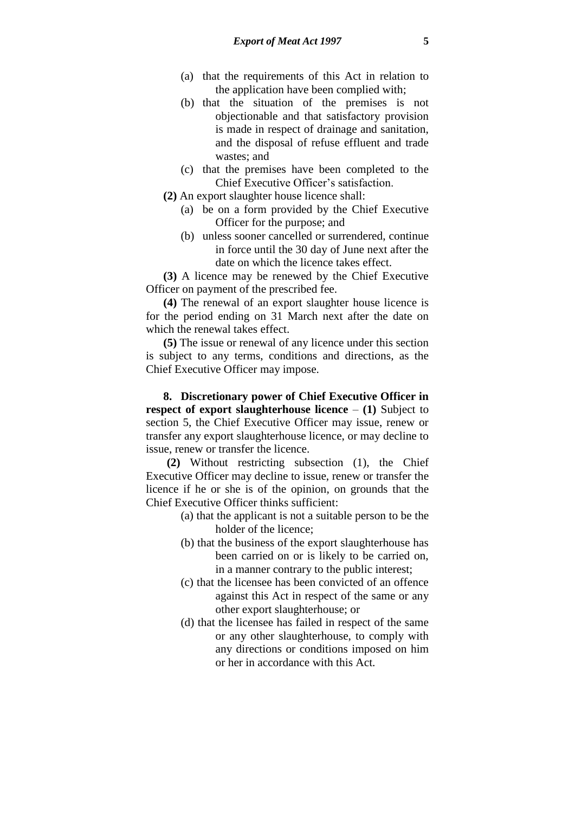- (a) that the requirements of this Act in relation to the application have been complied with;
- (b) that the situation of the premises is not objectionable and that satisfactory provision is made in respect of drainage and sanitation, and the disposal of refuse effluent and trade wastes; and
- (c) that the premises have been completed to the Chief Executive Officer's satisfaction.
- **(2)** An export slaughter house licence shall:
	- (a) be on a form provided by the Chief Executive Officer for the purpose; and
	- (b) unless sooner cancelled or surrendered, continue in force until the 30 day of June next after the date on which the licence takes effect.

**(3)** A licence may be renewed by the Chief Executive Officer on payment of the prescribed fee.

**(4)** The renewal of an export slaughter house licence is for the period ending on 31 March next after the date on which the renewal takes effect.

**(5)** The issue or renewal of any licence under this section is subject to any terms, conditions and directions, as the Chief Executive Officer may impose.

**8. Discretionary power of Chief Executive Officer in respect of export slaughterhouse licence** – **(1)** Subject to section 5, the Chief Executive Officer may issue, renew or transfer any export slaughterhouse licence, or may decline to issue, renew or transfer the licence.

**(2)** Without restricting subsection (1), the Chief Executive Officer may decline to issue, renew or transfer the licence if he or she is of the opinion, on grounds that the Chief Executive Officer thinks sufficient:

- (a) that the applicant is not a suitable person to be the holder of the licence;
- (b) that the business of the export slaughterhouse has been carried on or is likely to be carried on, in a manner contrary to the public interest;
- (c) that the licensee has been convicted of an offence against this Act in respect of the same or any other export slaughterhouse; or
- (d) that the licensee has failed in respect of the same or any other slaughterhouse, to comply with any directions or conditions imposed on him or her in accordance with this Act.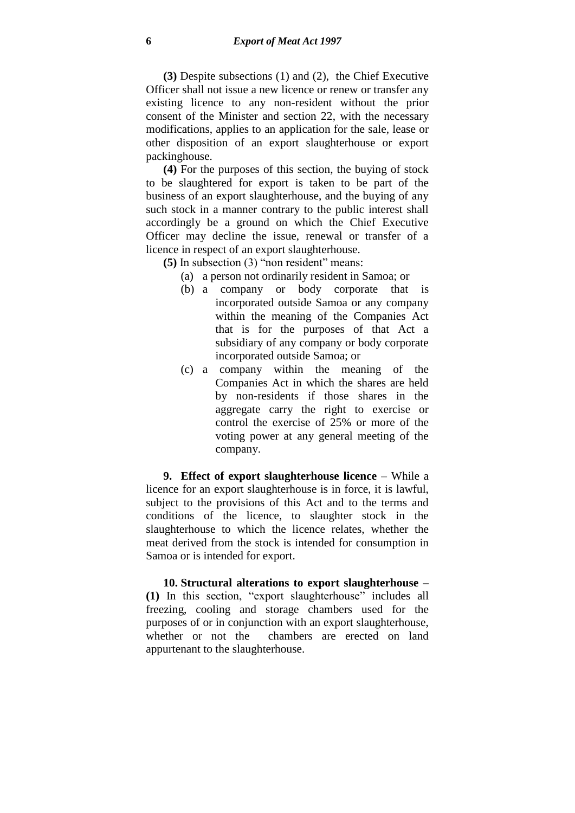**(3)** Despite subsections (1) and (2), the Chief Executive Officer shall not issue a new licence or renew or transfer any existing licence to any non-resident without the prior consent of the Minister and section 22, with the necessary modifications, applies to an application for the sale, lease or other disposition of an export slaughterhouse or export packinghouse.

**(4)** For the purposes of this section, the buying of stock to be slaughtered for export is taken to be part of the business of an export slaughterhouse, and the buying of any such stock in a manner contrary to the public interest shall accordingly be a ground on which the Chief Executive Officer may decline the issue, renewal or transfer of a licence in respect of an export slaughterhouse.

**(5)** In subsection (3) "non resident" means:

- (a) a person not ordinarily resident in Samoa; or
- (b) a company or body corporate that is incorporated outside Samoa or any company within the meaning of the Companies Act that is for the purposes of that Act a subsidiary of any company or body corporate incorporated outside Samoa; or
- (c) a company within the meaning of the Companies Act in which the shares are held by non-residents if those shares in the aggregate carry the right to exercise or control the exercise of 25% or more of the voting power at any general meeting of the company.

**9. Effect of export slaughterhouse licence** – While a licence for an export slaughterhouse is in force, it is lawful, subject to the provisions of this Act and to the terms and conditions of the licence, to slaughter stock in the slaughterhouse to which the licence relates, whether the meat derived from the stock is intended for consumption in Samoa or is intended for export.

**10. Structural alterations to export slaughterhouse – (1)** In this section, "export slaughterhouse" includes all freezing, cooling and storage chambers used for the purposes of or in conjunction with an export slaughterhouse, whether or not the chambers are erected on land appurtenant to the slaughterhouse.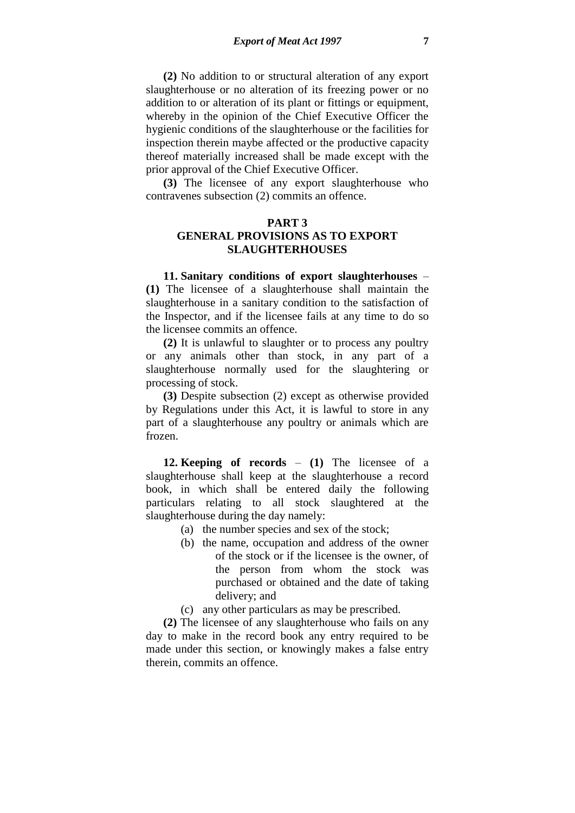**(2)** No addition to or structural alteration of any export slaughterhouse or no alteration of its freezing power or no addition to or alteration of its plant or fittings or equipment, whereby in the opinion of the Chief Executive Officer the hygienic conditions of the slaughterhouse or the facilities for inspection therein maybe affected or the productive capacity thereof materially increased shall be made except with the prior approval of the Chief Executive Officer.

**(3)** The licensee of any export slaughterhouse who contravenes subsection (2) commits an offence.

### **PART 3**

# **GENERAL PROVISIONS AS TO EXPORT SLAUGHTERHOUSES**

**11. Sanitary conditions of export slaughterhouses** – **(1)** The licensee of a slaughterhouse shall maintain the slaughterhouse in a sanitary condition to the satisfaction of the Inspector, and if the licensee fails at any time to do so the licensee commits an offence.

**(2)** It is unlawful to slaughter or to process any poultry or any animals other than stock, in any part of a slaughterhouse normally used for the slaughtering or processing of stock.

**(3)** Despite subsection (2) except as otherwise provided by Regulations under this Act, it is lawful to store in any part of a slaughterhouse any poultry or animals which are frozen.

**12. Keeping of records** – **(1)** The licensee of a slaughterhouse shall keep at the slaughterhouse a record book, in which shall be entered daily the following particulars relating to all stock slaughtered at the slaughterhouse during the day namely:

- (a) the number species and sex of the stock;
- (b) the name, occupation and address of the owner of the stock or if the licensee is the owner, of the person from whom the stock was purchased or obtained and the date of taking delivery; and
- (c) any other particulars as may be prescribed.

**(2)** The licensee of any slaughterhouse who fails on any day to make in the record book any entry required to be made under this section, or knowingly makes a false entry therein, commits an offence.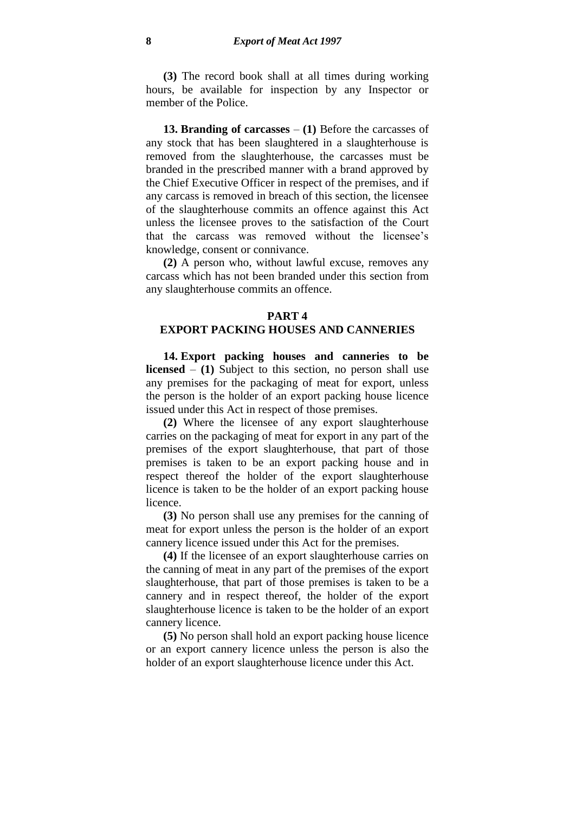**(3)** The record book shall at all times during working hours, be available for inspection by any Inspector or member of the Police.

**13. Branding of carcasses** – **(1)** Before the carcasses of any stock that has been slaughtered in a slaughterhouse is removed from the slaughterhouse, the carcasses must be branded in the prescribed manner with a brand approved by the Chief Executive Officer in respect of the premises, and if any carcass is removed in breach of this section, the licensee of the slaughterhouse commits an offence against this Act unless the licensee proves to the satisfaction of the Court that the carcass was removed without the licensee's knowledge, consent or connivance.

**(2)** A person who, without lawful excuse, removes any carcass which has not been branded under this section from any slaughterhouse commits an offence.

#### **PART 4**

## **EXPORT PACKING HOUSES AND CANNERIES**

**14. Export packing houses and canneries to be licensed** – **(1)** Subject to this section, no person shall use any premises for the packaging of meat for export, unless the person is the holder of an export packing house licence issued under this Act in respect of those premises.

**(2)** Where the licensee of any export slaughterhouse carries on the packaging of meat for export in any part of the premises of the export slaughterhouse, that part of those premises is taken to be an export packing house and in respect thereof the holder of the export slaughterhouse licence is taken to be the holder of an export packing house licence.

**(3)** No person shall use any premises for the canning of meat for export unless the person is the holder of an export cannery licence issued under this Act for the premises.

**(4)** If the licensee of an export slaughterhouse carries on the canning of meat in any part of the premises of the export slaughterhouse, that part of those premises is taken to be a cannery and in respect thereof, the holder of the export slaughterhouse licence is taken to be the holder of an export cannery licence.

**(5)** No person shall hold an export packing house licence or an export cannery licence unless the person is also the holder of an export slaughterhouse licence under this Act.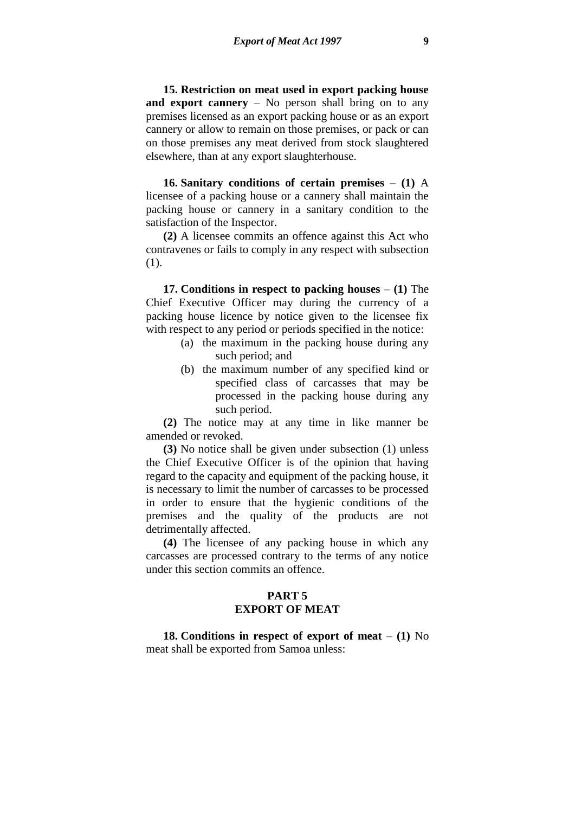**15. Restriction on meat used in export packing house and export cannery** – No person shall bring on to any premises licensed as an export packing house or as an export cannery or allow to remain on those premises, or pack or can on those premises any meat derived from stock slaughtered elsewhere, than at any export slaughterhouse.

**16. Sanitary conditions of certain premises** – **(1)** A licensee of a packing house or a cannery shall maintain the packing house or cannery in a sanitary condition to the satisfaction of the Inspector.

**(2)** A licensee commits an offence against this Act who contravenes or fails to comply in any respect with subsection (1).

**17. Conditions in respect to packing houses** – **(1)** The Chief Executive Officer may during the currency of a packing house licence by notice given to the licensee fix with respect to any period or periods specified in the notice:

- (a) the maximum in the packing house during any such period; and
- (b) the maximum number of any specified kind or specified class of carcasses that may be processed in the packing house during any such period.

**(2)** The notice may at any time in like manner be amended or revoked.

**(3)** No notice shall be given under subsection (1) unless the Chief Executive Officer is of the opinion that having regard to the capacity and equipment of the packing house, it is necessary to limit the number of carcasses to be processed in order to ensure that the hygienic conditions of the premises and the quality of the products are not detrimentally affected.

**(4)** The licensee of any packing house in which any carcasses are processed contrary to the terms of any notice under this section commits an offence.

### **PART 5 EXPORT OF MEAT**

**18. Conditions in respect of export of meat** – **(1)** No meat shall be exported from Samoa unless: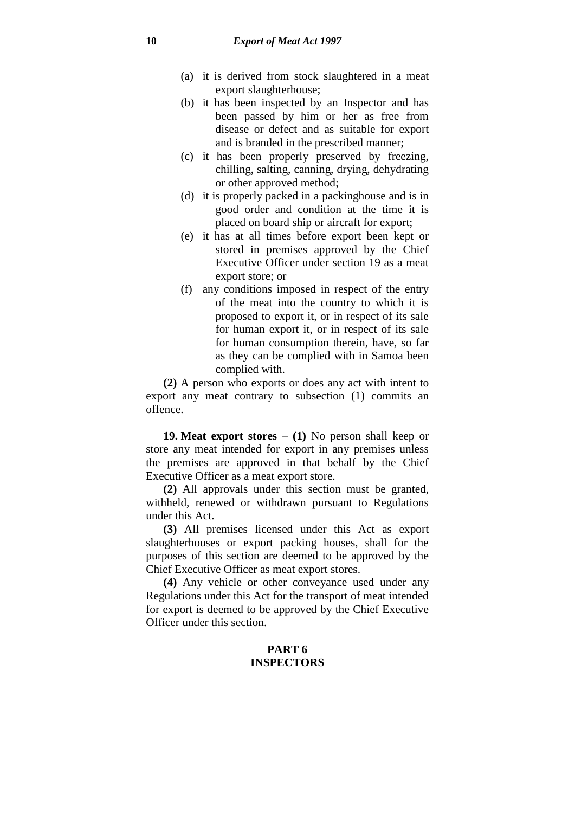- (a) it is derived from stock slaughtered in a meat export slaughterhouse;
- (b) it has been inspected by an Inspector and has been passed by him or her as free from disease or defect and as suitable for export and is branded in the prescribed manner;
- (c) it has been properly preserved by freezing, chilling, salting, canning, drying, dehydrating or other approved method;
- (d) it is properly packed in a packinghouse and is in good order and condition at the time it is placed on board ship or aircraft for export;
- (e) it has at all times before export been kept or stored in premises approved by the Chief Executive Officer under section 19 as a meat export store; or
- (f) any conditions imposed in respect of the entry of the meat into the country to which it is proposed to export it, or in respect of its sale for human export it, or in respect of its sale for human consumption therein, have, so far as they can be complied with in Samoa been complied with.

**(2)** A person who exports or does any act with intent to export any meat contrary to subsection (1) commits an offence.

**19. Meat export stores** – **(1)** No person shall keep or store any meat intended for export in any premises unless the premises are approved in that behalf by the Chief Executive Officer as a meat export store.

**(2)** All approvals under this section must be granted, withheld, renewed or withdrawn pursuant to Regulations under this Act.

**(3)** All premises licensed under this Act as export slaughterhouses or export packing houses, shall for the purposes of this section are deemed to be approved by the Chief Executive Officer as meat export stores.

**(4)** Any vehicle or other conveyance used under any Regulations under this Act for the transport of meat intended for export is deemed to be approved by the Chief Executive Officer under this section.

# **PART 6 INSPECTORS**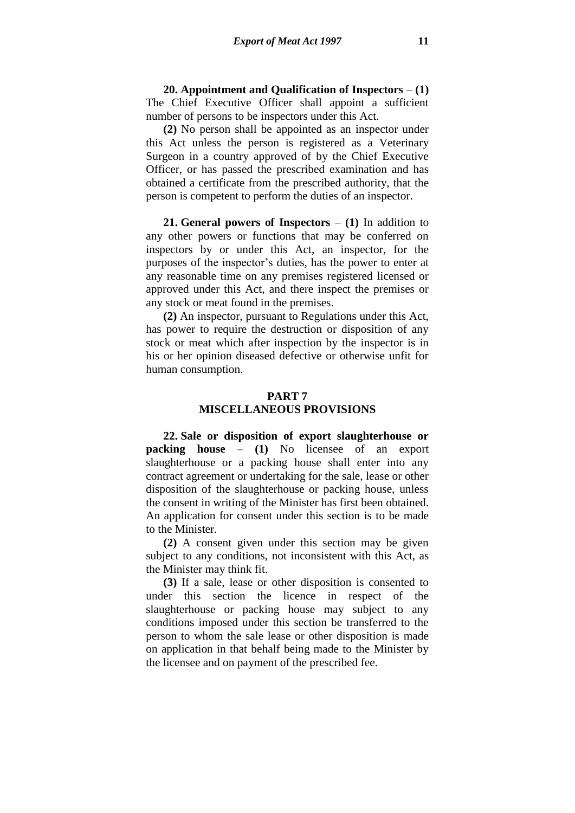**20. Appointment and Qualification of Inspectors** – **(1)**  The Chief Executive Officer shall appoint a sufficient number of persons to be inspectors under this Act.

**(2)** No person shall be appointed as an inspector under this Act unless the person is registered as a Veterinary Surgeon in a country approved of by the Chief Executive Officer, or has passed the prescribed examination and has obtained a certificate from the prescribed authority, that the person is competent to perform the duties of an inspector.

**21. General powers of Inspectors** – **(1)** In addition to any other powers or functions that may be conferred on inspectors by or under this Act, an inspector, for the purposes of the inspector's duties, has the power to enter at any reasonable time on any premises registered licensed or approved under this Act, and there inspect the premises or any stock or meat found in the premises.

**(2)** An inspector, pursuant to Regulations under this Act, has power to require the destruction or disposition of any stock or meat which after inspection by the inspector is in his or her opinion diseased defective or otherwise unfit for human consumption.

## **PART 7 MISCELLANEOUS PROVISIONS**

**22. Sale or disposition of export slaughterhouse or packing house** – **(1)** No licensee of an export slaughterhouse or a packing house shall enter into any contract agreement or undertaking for the sale, lease or other disposition of the slaughterhouse or packing house, unless the consent in writing of the Minister has first been obtained. An application for consent under this section is to be made to the Minister.

**(2)** A consent given under this section may be given subject to any conditions, not inconsistent with this Act, as the Minister may think fit.

**(3)** If a sale, lease or other disposition is consented to under this section the licence in respect of the slaughterhouse or packing house may subject to any conditions imposed under this section be transferred to the person to whom the sale lease or other disposition is made on application in that behalf being made to the Minister by the licensee and on payment of the prescribed fee.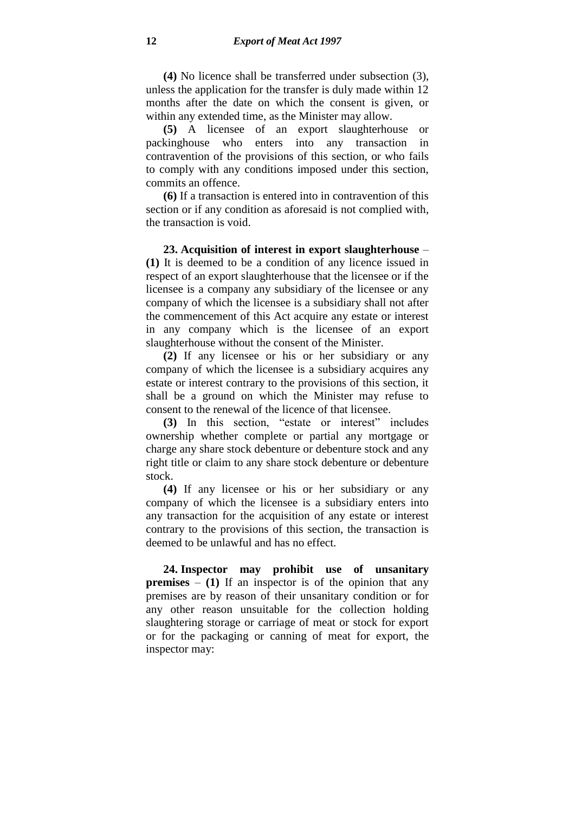**(4)** No licence shall be transferred under subsection (3), unless the application for the transfer is duly made within 12 months after the date on which the consent is given, or within any extended time, as the Minister may allow.

**(5)** A licensee of an export slaughterhouse or packinghouse who enters into any transaction in contravention of the provisions of this section, or who fails to comply with any conditions imposed under this section, commits an offence.

**(6)** If a transaction is entered into in contravention of this section or if any condition as aforesaid is not complied with, the transaction is void.

**23. Acquisition of interest in export slaughterhouse** – **(1)** It is deemed to be a condition of any licence issued in respect of an export slaughterhouse that the licensee or if the licensee is a company any subsidiary of the licensee or any company of which the licensee is a subsidiary shall not after the commencement of this Act acquire any estate or interest in any company which is the licensee of an export slaughterhouse without the consent of the Minister.

**(2)** If any licensee or his or her subsidiary or any company of which the licensee is a subsidiary acquires any estate or interest contrary to the provisions of this section, it shall be a ground on which the Minister may refuse to consent to the renewal of the licence of that licensee.

**(3)** In this section, "estate or interest" includes ownership whether complete or partial any mortgage or charge any share stock debenture or debenture stock and any right title or claim to any share stock debenture or debenture stock.

**(4)** If any licensee or his or her subsidiary or any company of which the licensee is a subsidiary enters into any transaction for the acquisition of any estate or interest contrary to the provisions of this section, the transaction is deemed to be unlawful and has no effect.

**24. Inspector may prohibit use of unsanitary premises** – **(1)** If an inspector is of the opinion that any premises are by reason of their unsanitary condition or for any other reason unsuitable for the collection holding slaughtering storage or carriage of meat or stock for export or for the packaging or canning of meat for export, the inspector may: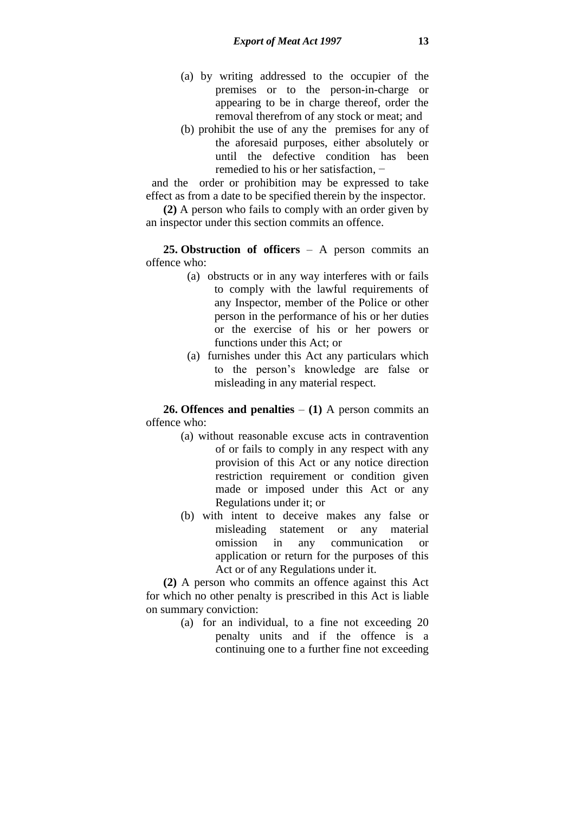- (a) by writing addressed to the occupier of the premises or to the person-in-charge or appearing to be in charge thereof, order the removal therefrom of any stock or meat; and
- (b) prohibit the use of any the premises for any of the aforesaid purposes, either absolutely or until the defective condition has been remedied to his or her satisfaction, −

 and the order or prohibition may be expressed to take effect as from a date to be specified therein by the inspector.

**(2)** A person who fails to comply with an order given by an inspector under this section commits an offence.

**25. Obstruction of officers** – A person commits an offence who:

- (a) obstructs or in any way interferes with or fails to comply with the lawful requirements of any Inspector, member of the Police or other person in the performance of his or her duties or the exercise of his or her powers or functions under this Act; or
- (a) furnishes under this Act any particulars which to the person's knowledge are false or misleading in any material respect.

**26. Offences and penalties** – **(1)** A person commits an offence who:

- (a) without reasonable excuse acts in contravention of or fails to comply in any respect with any provision of this Act or any notice direction restriction requirement or condition given made or imposed under this Act or any Regulations under it; or
- (b) with intent to deceive makes any false or misleading statement or any material omission in any communication or application or return for the purposes of this Act or of any Regulations under it.

**(2)** A person who commits an offence against this Act for which no other penalty is prescribed in this Act is liable on summary conviction:

> (a) for an individual, to a fine not exceeding 20 penalty units and if the offence is a continuing one to a further fine not exceeding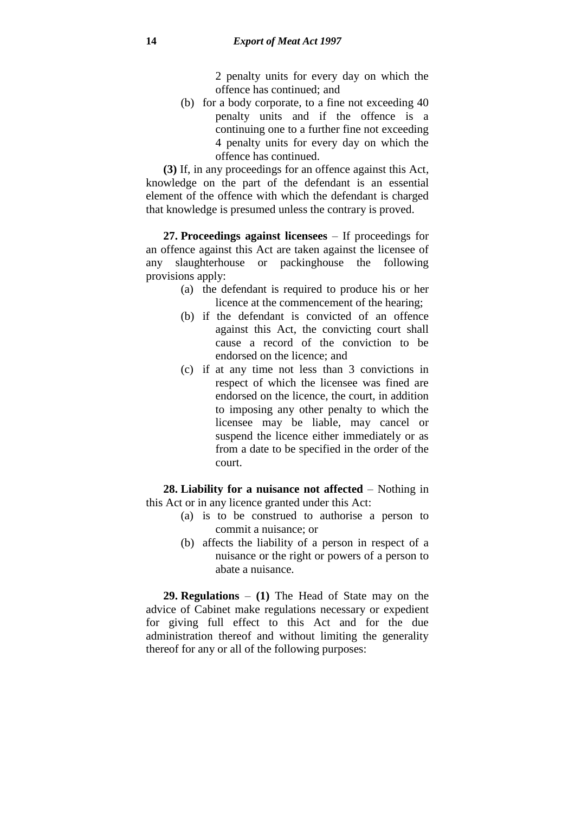2 penalty units for every day on which the offence has continued; and

(b) for a body corporate, to a fine not exceeding 40 penalty units and if the offence is a continuing one to a further fine not exceeding 4 penalty units for every day on which the offence has continued.

**(3)** If, in any proceedings for an offence against this Act, knowledge on the part of the defendant is an essential element of the offence with which the defendant is charged that knowledge is presumed unless the contrary is proved.

**27. Proceedings against licensees** – If proceedings for an offence against this Act are taken against the licensee of any slaughterhouse or packinghouse the following provisions apply:

- (a) the defendant is required to produce his or her licence at the commencement of the hearing;
- (b) if the defendant is convicted of an offence against this Act, the convicting court shall cause a record of the conviction to be endorsed on the licence; and
- (c) if at any time not less than 3 convictions in respect of which the licensee was fined are endorsed on the licence, the court, in addition to imposing any other penalty to which the licensee may be liable, may cancel or suspend the licence either immediately or as from a date to be specified in the order of the court.

**28. Liability for a nuisance not affected** – Nothing in this Act or in any licence granted under this Act:

- (a) is to be construed to authorise a person to commit a nuisance; or
- (b) affects the liability of a person in respect of a nuisance or the right or powers of a person to abate a nuisance.

**29. Regulations** – **(1)** The Head of State may on the advice of Cabinet make regulations necessary or expedient for giving full effect to this Act and for the due administration thereof and without limiting the generality thereof for any or all of the following purposes: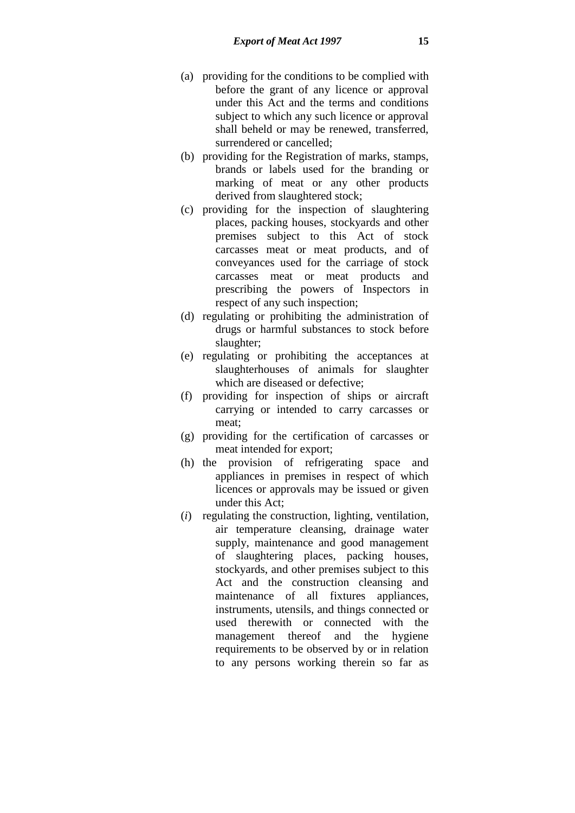- (a) providing for the conditions to be complied with before the grant of any licence or approval under this Act and the terms and conditions subject to which any such licence or approval shall beheld or may be renewed, transferred, surrendered or cancelled;
- (b) providing for the Registration of marks, stamps, brands or labels used for the branding or marking of meat or any other products derived from slaughtered stock;
- (c) providing for the inspection of slaughtering places, packing houses, stockyards and other premises subject to this Act of stock carcasses meat or meat products, and of conveyances used for the carriage of stock carcasses meat or meat products and prescribing the powers of Inspectors in respect of any such inspection;
- (d) regulating or prohibiting the administration of drugs or harmful substances to stock before slaughter;
- (e) regulating or prohibiting the acceptances at slaughterhouses of animals for slaughter which are diseased or defective;
- (f) providing for inspection of ships or aircraft carrying or intended to carry carcasses or meat;
- (g) providing for the certification of carcasses or meat intended for export;
- (h) the provision of refrigerating space and appliances in premises in respect of which licences or approvals may be issued or given under this Act;
- (*i*) regulating the construction, lighting, ventilation, air temperature cleansing, drainage water supply, maintenance and good management of slaughtering places, packing houses, stockyards, and other premises subject to this Act and the construction cleansing and maintenance of all fixtures appliances, instruments, utensils, and things connected or used therewith or connected with the management thereof and the hygiene requirements to be observed by or in relation to any persons working therein so far as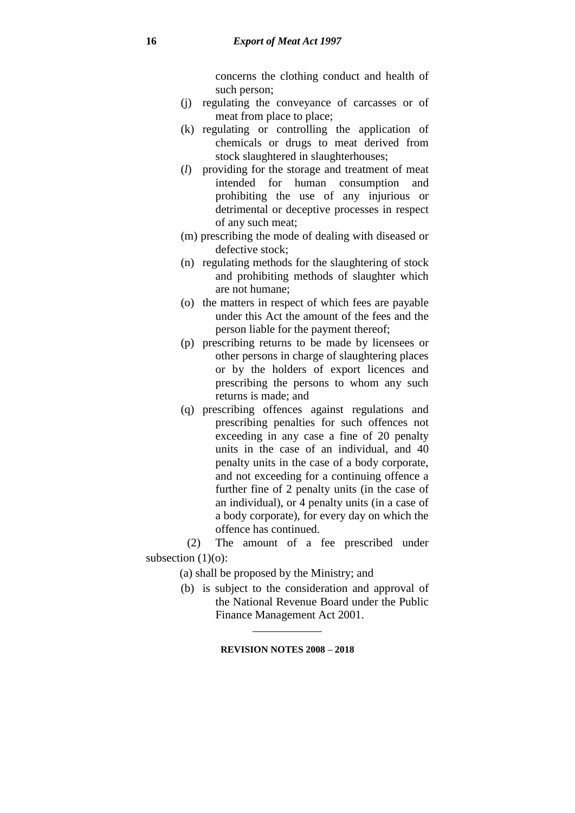concerns the clothing conduct and health of such person;

- (j) regulating the conveyance of carcasses or of meat from place to place;
- (k) regulating or controlling the application of chemicals or drugs to meat derived from stock slaughtered in slaughterhouses;
- (*l*) providing for the storage and treatment of meat intended for human consumption and prohibiting the use of any injurious or detrimental or deceptive processes in respect of any such meat;
- (m) prescribing the mode of dealing with diseased or defective stock;
- (n) regulating methods for the slaughtering of stock and prohibiting methods of slaughter which are not humane;
- (o) the matters in respect of which fees are payable under this Act the amount of the fees and the person liable for the payment thereof;
- (p) prescribing returns to be made by licensees or other persons in charge of slaughtering places or by the holders of export licences and prescribing the persons to whom any such returns is made; and
- (q) prescribing offences against regulations and prescribing penalties for such offences not exceeding in any case a fine of 20 penalty units in the case of an individual, and 40 penalty units in the case of a body corporate, and not exceeding for a continuing offence a further fine of 2 penalty units (in the case of an individual), or 4 penalty units (in a case of a body corporate), for every day on which the offence has continued.

(2) The amount of a fee prescribed under subsection  $(1)(o)$ :

- (a) shall be proposed by the Ministry; and
- (b) is subject to the consideration and approval of the National Revenue Board under the Public Finance Management Act 2001.

### **REVISION NOTES 2008 – 2018**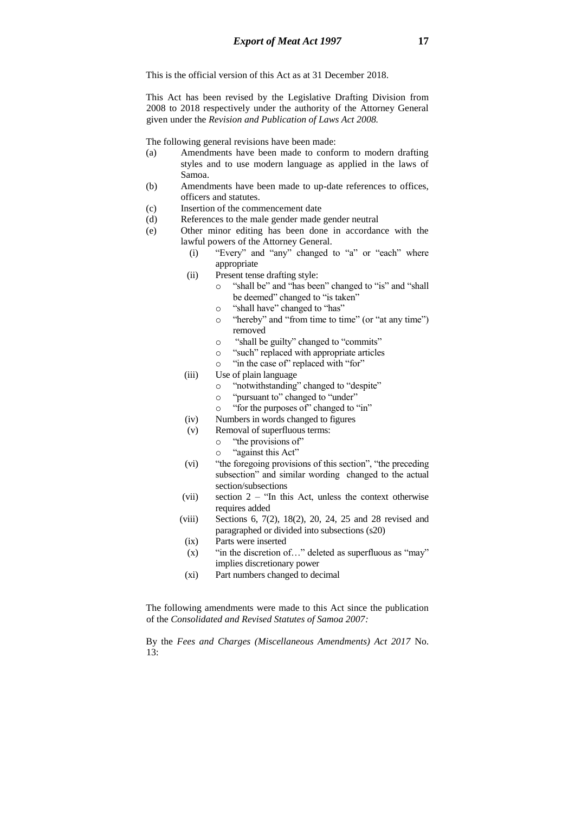This is the official version of this Act as at 31 December 2018.

This Act has been revised by the Legislative Drafting Division from 2008 to 2018 respectively under the authority of the Attorney General given under the *Revision and Publication of Laws Act 2008.*

The following general revisions have been made:

- (a) Amendments have been made to conform to modern drafting styles and to use modern language as applied in the laws of Samoa.
- (b) Amendments have been made to up-date references to offices, officers and statutes.
- (c) Insertion of the commencement date
- (d) References to the male gender made gender neutral
- (e) Other minor editing has been done in accordance with the lawful powers of the Attorney General.
	- (i) "Every" and "any" changed to "a" or "each" where appropriate
	- (ii) Present tense drafting style:
		- o "shall be" and "has been" changed to "is" and "shall be deemed" changed to "is taken"
		- o "shall have" changed to "has"
		- o "hereby" and "from time to time" (or "at any time") removed
		- o "shall be guilty" changed to "commits"
		- o "such" replaced with appropriate articles
		- o "in the case of" replaced with "for"
	- (iii) Use of plain language
		- o "notwithstanding" changed to "despite"
		- o "pursuant to" changed to "under"
		- o "for the purposes of" changed to "in"
	- (iv) Numbers in words changed to figures
	- (v) Removal of superfluous terms:
		- o "the provisions of"
		- o "against this Act"
	- (vi) "the foregoing provisions of this section", "the preceding subsection" and similar wording changed to the actual section/subsections
	- (vii) section 2 "In this Act, unless the context otherwise requires added
	- (viii) Sections 6, 7(2), 18(2), 20, 24, 25 and 28 revised and paragraphed or divided into subsections (s20)
	- (ix) Parts were inserted
		- $(x)$  "in the discretion of..." deleted as superfluous as "may" implies discretionary power
		- (xi) Part numbers changed to decimal

The following amendments were made to this Act since the publication of the *Consolidated and Revised Statutes of Samoa 2007:*

By the *Fees and Charges (Miscellaneous Amendments) Act 2017* No. 13: